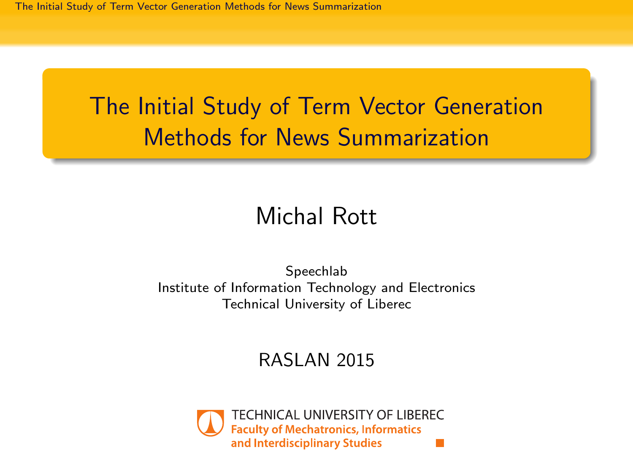# <span id="page-0-0"></span>The Initial Study of Term Vector Generation Methods for News Summarization

#### Michal Rott

Speechlab Institute of Information Technology and Electronics Technical University of Liberec

#### RASLAN 2015

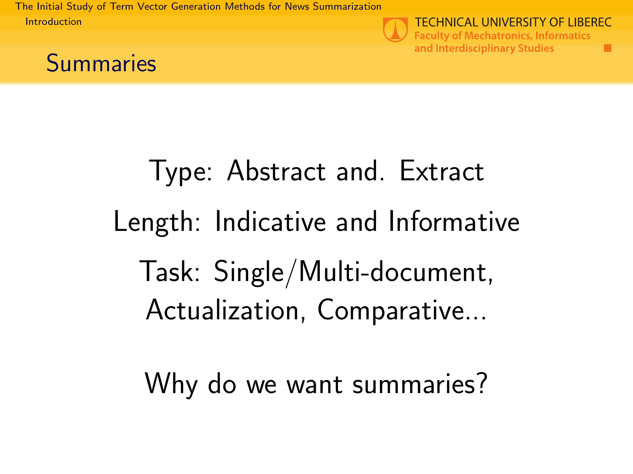<span id="page-1-0"></span>[The Initial Study of Term Vector Generation Methods for News Summarization](#page-0-0) [Introduction](#page-1-0)



**TECHNICAL UNIVERSITY OF LIBEREC Faculty of Mechatronics, Informatics** and Interdisciplinary Studies

٠



# Type: Abstract and. Extract Length: Indicative and Informative Task: Single/Multi-document, Actualization, Comparative...

Why do we want summaries?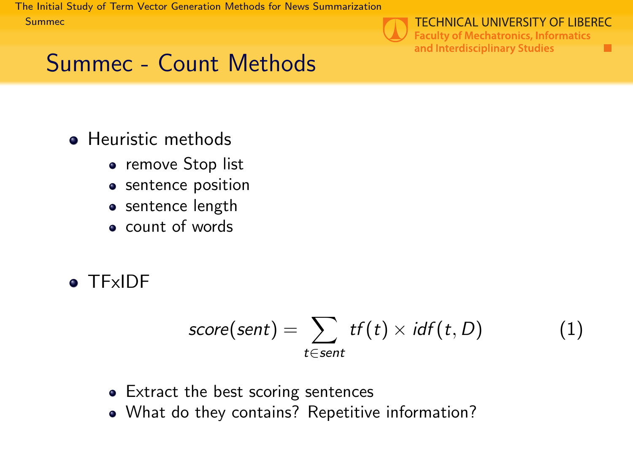<span id="page-2-0"></span>[The Initial Study of Term Vector Generation Methods for News Summarization](#page-0-0) [Summec](#page-2-0)



**TECHNICAL UNIVERSITY OF LIBEREC** 

٠

**Faculty of Mechatronics, Informatics** and Interdisciplinary Studies

# Summec - Count Methods

- **•** Heuristic methods
	- remove Stop list
	- sentence position
	- sentence length
	- count of words
- **o** TFxIDF

$$
score(sent) = \sum_{t \in sent} tf(t) \times idf(t, D)
$$
 (1)

- Extract the best scoring sentences
- What do they contains? Repetitive information?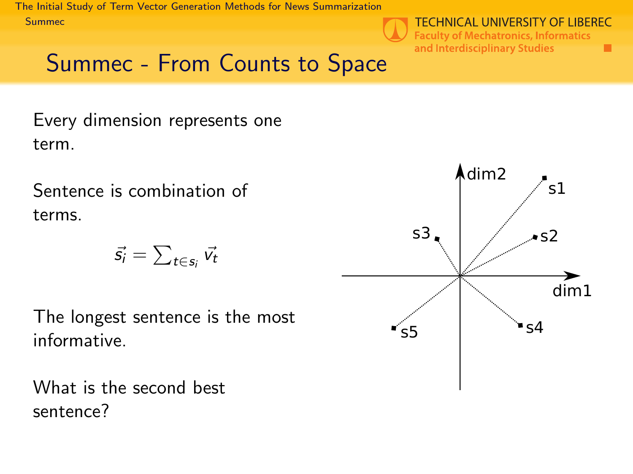<span id="page-3-0"></span>[The Initial Study of Term Vector Generation Methods for News Summarization](#page-0-0) [Summec](#page-3-0)



### Summec - From Counts to Space

Every dimension represents one term.

Sentence is combination of terms.

$$
\vec{s_i} = \sum_{t \in s_i} \vec{v_t}
$$

The longest sentence is the most informative.

What is the second best sentence?

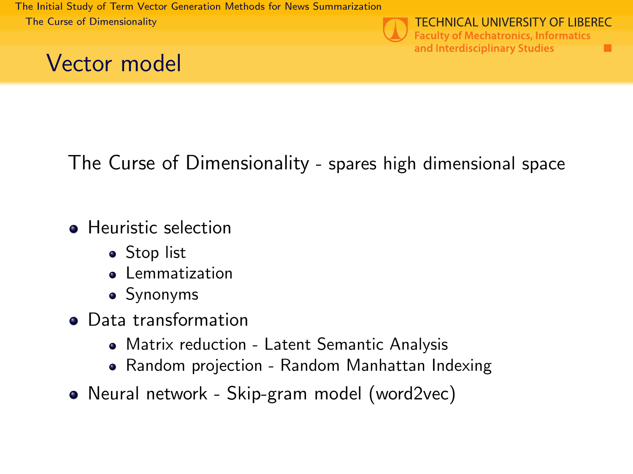<span id="page-4-0"></span>[The Initial Study of Term Vector Generation Methods for News Summarization](#page-0-0) [The Curse of Dimensionality](#page-4-0)





**TECHNICAL UNIVERSITY OF LIBEREC Faculty of Mechatronics, Informatics** and Interdisciplinary Studies п

The Curse of Dimensionality - spares high dimensional space

- **•** Heuristic selection
	- Stop list
	- **•** Lemmatization
	- Synonyms
- Data transformation
	- Matrix reduction Latent Semantic Analysis
	- Random projection Random Manhattan Indexing
- Neural network Skip-gram model (word2vec)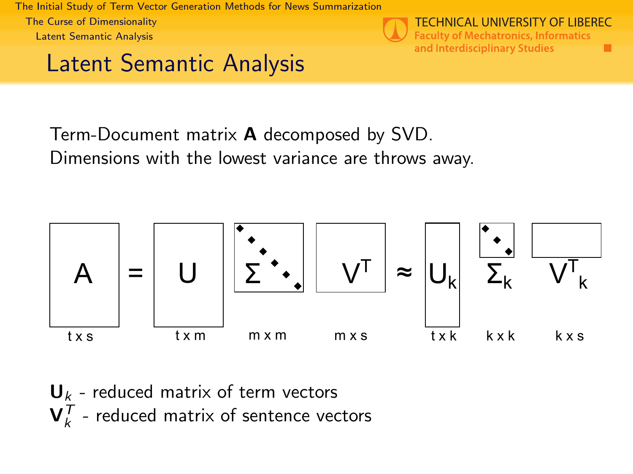<span id="page-5-0"></span>[The Initial Study of Term Vector Generation Methods for News Summarization](#page-0-0) [The Curse of Dimensionality](#page-5-0) [Latent Semantic Analysis](#page-5-0)



**TECHNICAL UNIVERSITY OF LIBEREC Faculty of Mechatronics, Informatics** and Interdisciplinary Studies ٠

#### Latent Semantic Analysis

Term-Document matrix A decomposed by SVD. Dimensions with the lowest variance are throws away.



 **- reduced matrix of term vectors**  $\mathbf{V}_k^{\mathcal{T}}$  - reduced matrix of sentence vectors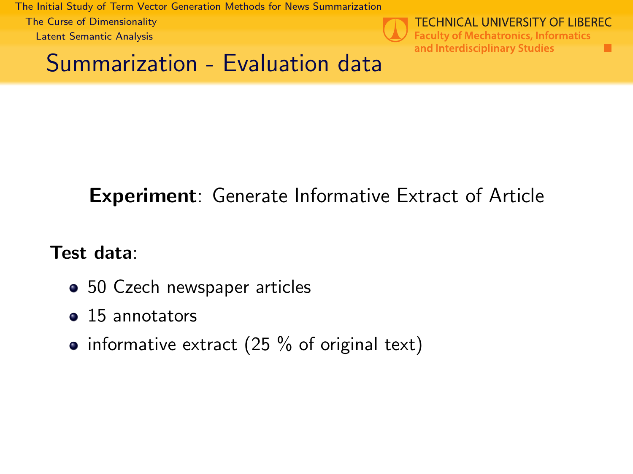<span id="page-6-0"></span>[The Initial Study of Term Vector Generation Methods for News Summarization](#page-0-0) [The Curse of Dimensionality](#page-6-0) [Latent Semantic Analysis](#page-6-0)



#### Summarization - Evaluation data

#### Experiment: Generate Informative Extract of Article

Test data:

- 50 Czech newspaper articles
- 15 annotators
- informative extract (25  $%$  of original text)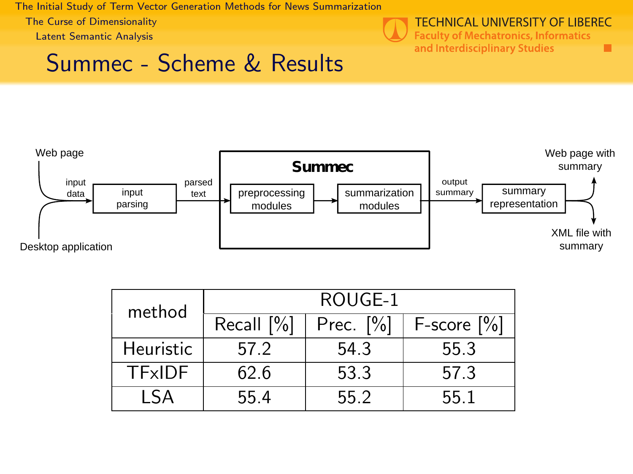<span id="page-7-0"></span>[The Initial Study of Term Vector Generation Methods for News Summarization](#page-0-0) [The Curse of Dimensionality](#page-7-0) [Latent Semantic Analysis](#page-7-0)



#### **TECHNICAL UNIVERSITY OF LIBEREC**

٠

**Faculty of Mechatronics, Informatics** and Interdisciplinary Studies

#### Summec - Scheme & Results



| method        | ROUGE-1       |              |                     |  |
|---------------|---------------|--------------|---------------------|--|
|               | Recall $[\%]$ | Prec. $[\%]$ | $F-score \,   \%  $ |  |
| Heuristic     | 57.2          | 54.3         | 55.3                |  |
| <b>TExIDE</b> | 62.6          | 53.3         | 57.3                |  |
| I SA          | 55.4          | 55 2         | 55 1                |  |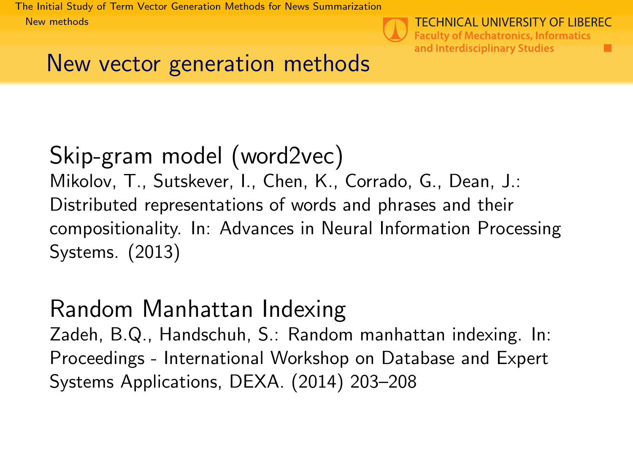<span id="page-8-0"></span>[The Initial Study of Term Vector Generation Methods for News Summarization](#page-0-0) [New methods](#page-8-0)



п

#### New vector generation methods

#### Skip-gram model (word2vec) Mikolov, T., Sutskever, I., Chen, K., Corrado, G., Dean, J.: Distributed representations of words and phrases and their compositionality. In: Advances in Neural Information Processing Systems. (2013)

#### Random Manhattan Indexing

Zadeh, B.Q., Handschuh, S.: Random manhattan indexing. In: Proceedings - International Workshop on Database and Expert Systems Applications, DEXA. (2014) 203–208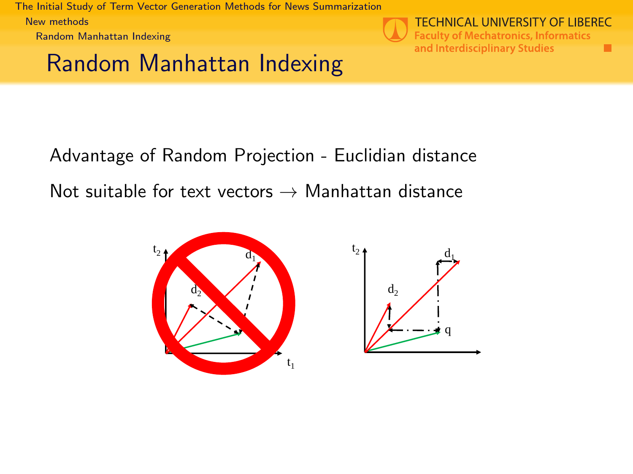<span id="page-9-0"></span>[The Initial Study of Term Vector Generation Methods for News Summarization](#page-0-0) [New methods](#page-9-0) [Random Manhattan Indexing](#page-9-0)

Random Manhattan Indexing



**TECHNICAL UNIVERSITY OF LIBEREC Faculty of Mechatronics, Informatics** and Interdisciplinary Studies ٠

Advantage of Random Projection - Euclidian distance Not suitable for text vectors  $\rightarrow$  Manhattan distance



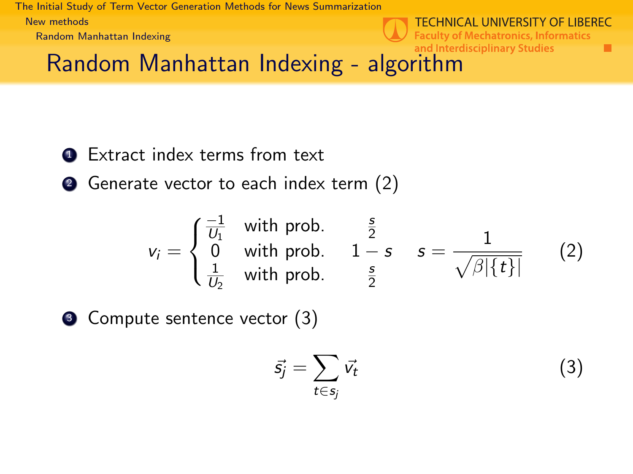<span id="page-10-0"></span>[The Initial Study of Term Vector Generation Methods for News Summarization](#page-0-0) [New methods](#page-10-0) [Random Manhattan Indexing](#page-10-0)

**TECHNICAL UNIVERSITY OF LIBEREC Faculty of Mechatronics, Informatics** and Interdisciplinary Studies

<span id="page-10-1"></span>п

# Random Manhattan Indexing - algorithm

- **1** Extract index terms from text
- **2** Generate vector to each index term [\(2\)](#page-10-1)

$$
v_i = \begin{cases} \frac{-1}{U_1} & \text{with prob.} \\ 0 & \text{with prob.} \\ \frac{1}{U_2} & \text{with prob.} \end{cases} \quad \frac{s}{1-s} \quad s = \frac{1}{\sqrt{\beta|\{t\}|}} \tag{2}
$$

• Compute sentence vector [\(3\)](#page-10-2)

<span id="page-10-2"></span>
$$
\vec{s_j} = \sum_{t \in s_j} \vec{v_t} \tag{3}
$$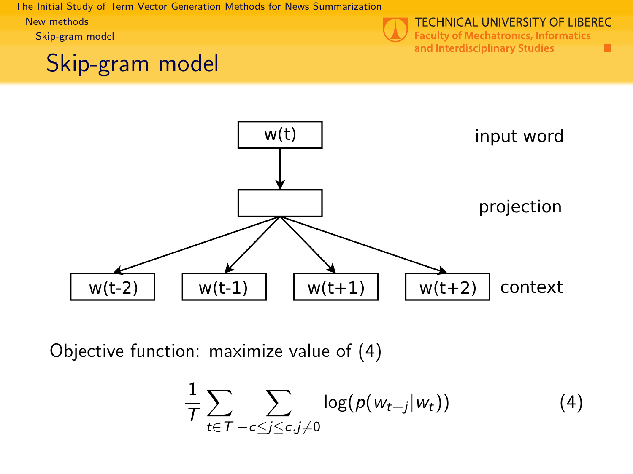<span id="page-11-0"></span>[The Initial Study of Term Vector Generation Methods for News Summarization](#page-0-0) [New methods](#page-11-0)

[Skip-gram model](#page-11-0)

### Skip-gram model



**Faculty of Mechatronics, Informatics** and Interdisciplinary Studies

٠



Objective function: maximize value of [\(4\)](#page-11-1)

<span id="page-11-1"></span>
$$
\frac{1}{T}\sum_{t\in T}\sum_{-c\leq j\leq c,j\neq 0}\log(p(w_{t+j}|w_t))\tag{4}
$$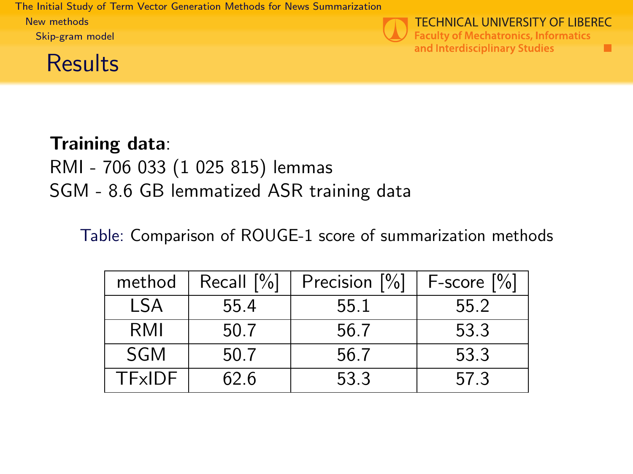<span id="page-12-0"></span>[The Initial Study of Term Vector Generation Methods for News Summarization](#page-0-0) [New methods](#page-12-0) [Skip-gram model](#page-12-0)

#### **Results**



**TECHNICAL UNIVERSITY OF LIBEREC Faculty of Mechatronics, Informatics** and Interdisciplinary Studies ٠

#### Training data: RMI - 706 033 (1 025 815) lemmas SGM - 8.6 GB lemmatized ASR training data

Table: Comparison of ROUGE-1 score of summarization methods

| method     | Recall $[\%]$ | Precision [%] | $F-score [%]$ |
|------------|---------------|---------------|---------------|
| LSA        | 55.4          | 55.1          | 55.2          |
| RMI        | 50.7          | 56.7          | 53.3          |
| <b>SGM</b> | 50.7          | 56.7          | 53.3          |
| TFxIDF     | 62.6          | 53.3          | 57.3          |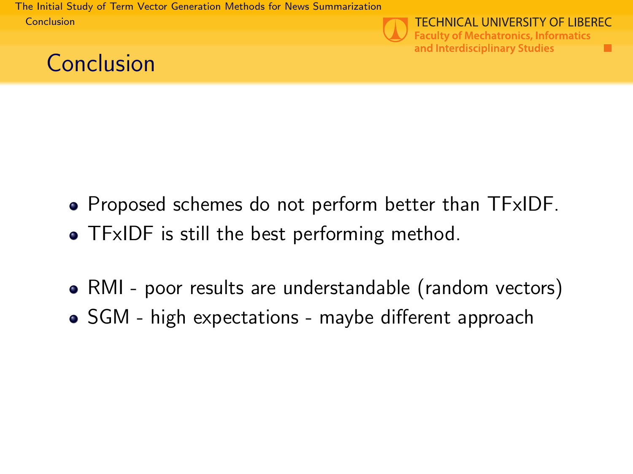<span id="page-13-0"></span>[The Initial Study of Term Vector Generation Methods for News Summarization](#page-0-0) [Conclusion](#page-13-0)



**TECHNICAL UNIVERSITY OF LIBEREC Faculty of Mechatronics, Informatics** and Interdisciplinary Studies

٠



- Proposed schemes do not perform better than TFxIDF.
- TFxIDF is still the best performing method.
- RMI poor results are understandable (random vectors)
- SGM high expectations maybe different approach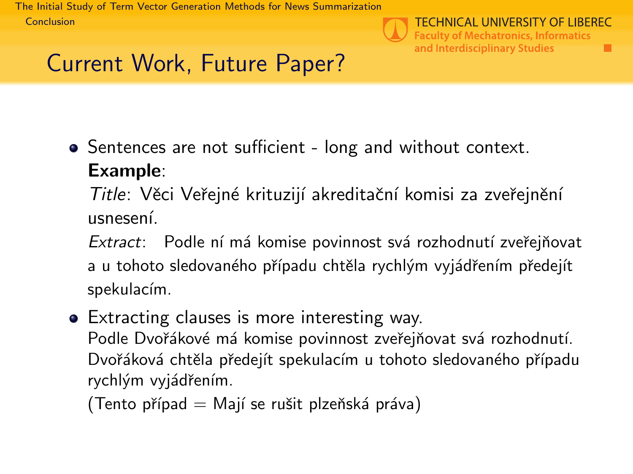<span id="page-14-0"></span>[The Initial Study of Term Vector Generation Methods for News Summarization](#page-0-0) [Conclusion](#page-14-0)



п

# Current Work, Future Paper?

• Sentences are not sufficient - long and without context.

#### Example:

Title: Věci Veřejné krituzijí akreditační komisi za zveřejnění usnesen´ı.

Extract: Podle ní má komise povinnost svá rozhodnutí zveřejňovat a u tohoto sledovaného případu chtěla rychlým vyjádřením předejít spekulacím.

• Extracting clauses is more interesting way. Podle Dvořákové má komise povinnost zveřejňovat svá rozhodnutí. Dvořáková chtěla předejít spekulacím u tohoto sledovaného případu rychlým vyjádřením.

 $(Tento případ = Mají se rušit plzeňská práva)$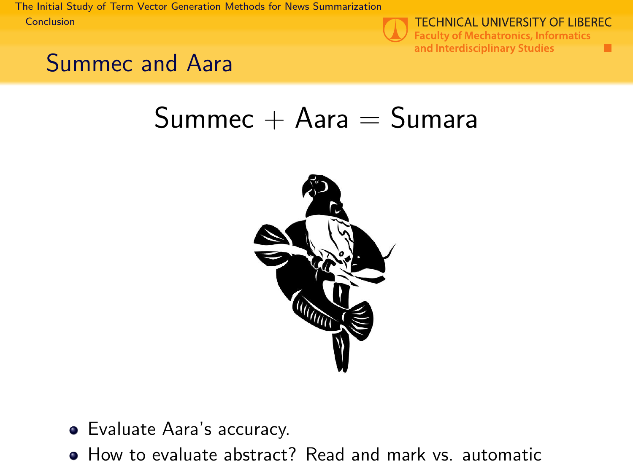<span id="page-15-0"></span>[The Initial Study of Term Vector Generation Methods for News Summarization](#page-0-0) [Conclusion](#page-15-0)



**TECHNICAL UNIVERSITY OF LIBEREC Faculty of Mechatronics, Informatics** and Interdisciplinary Studies ٠

## Summec and Aara

# $Summec + Aara = Sumara$



- Evaluate Aara's accuracy.
- How to evaluate abstract? Read and mark vs. automatic